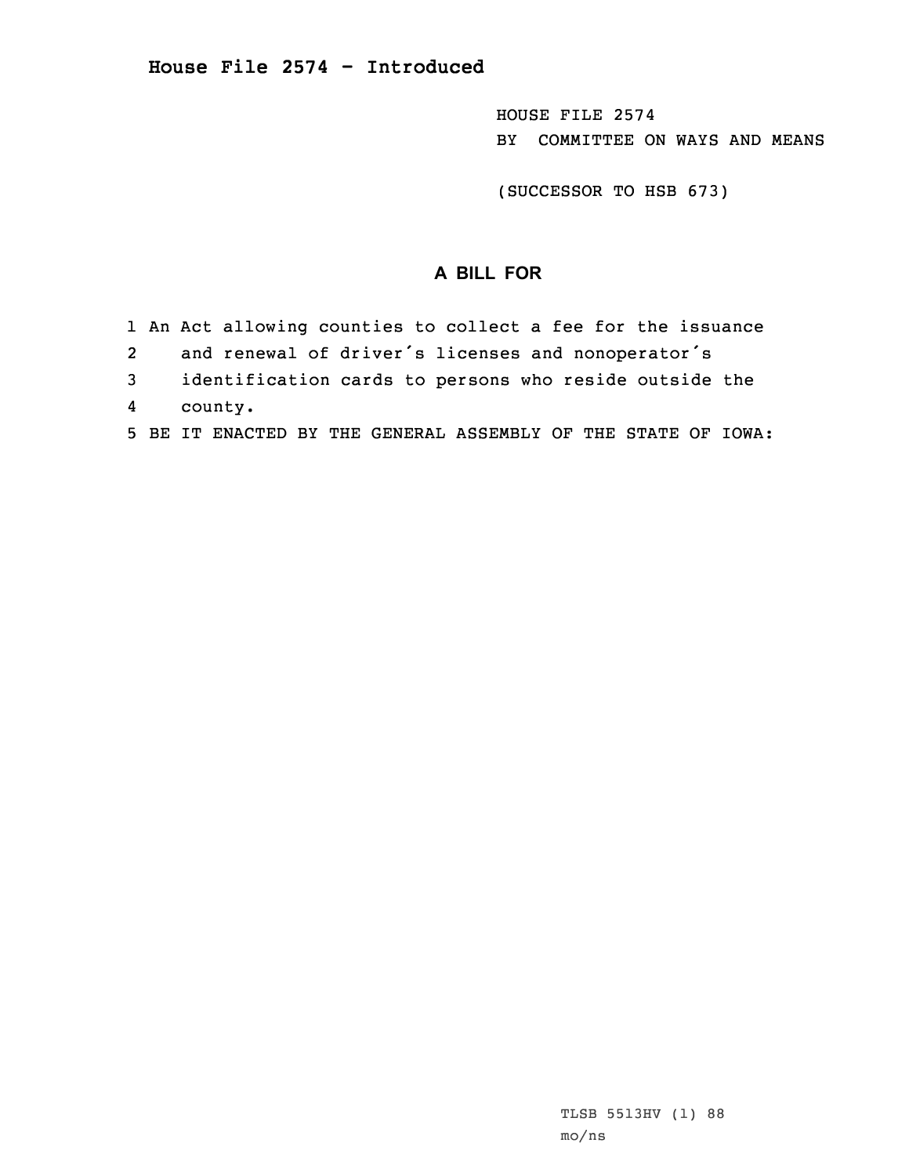HOUSE FILE 2574 BY COMMITTEE ON WAYS AND MEANS

(SUCCESSOR TO HSB 673)

## **A BILL FOR**

- 1 An Act allowing counties to collect <sup>a</sup> fee for the issuance
- 2and renewal of driver's licenses and nonoperator's
- 3 identification cards to persons who reside outside the
- 4county.
- 5 BE IT ENACTED BY THE GENERAL ASSEMBLY OF THE STATE OF IOWA: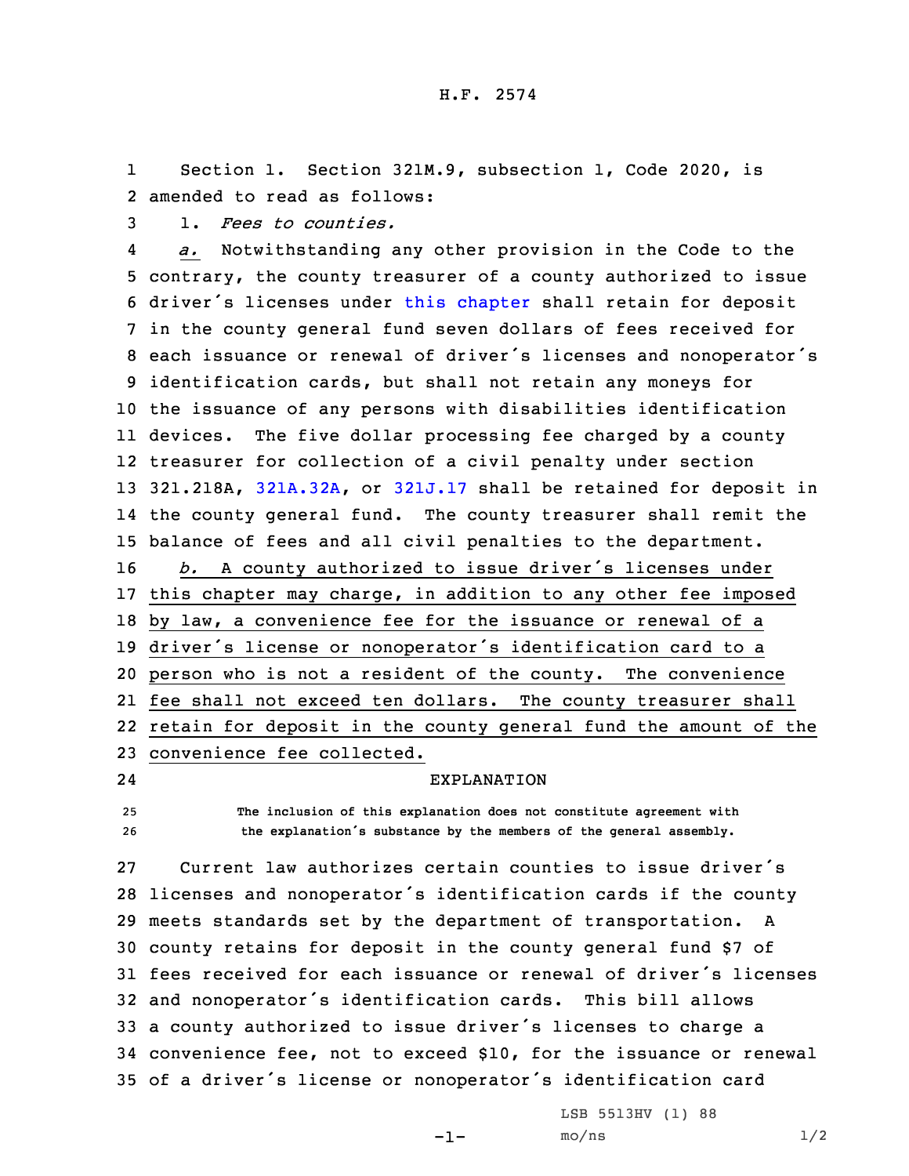1 Section 1. Section 321M.9, subsection 1, Code 2020, is 2 amended to read as follows:

3 1. *Fees to counties.*

4 *a.* Notwithstanding any other provision in the Code to the contrary, the county treasurer of <sup>a</sup> county authorized to issue driver's licenses under this [chapter](https://www.legis.iowa.gov/docs/code/2020/321M.pdf) shall retain for deposit in the county general fund seven dollars of fees received for each issuance or renewal of driver's licenses and nonoperator's identification cards, but shall not retain any moneys for the issuance of any persons with disabilities identification devices. The five dollar processing fee charged by <sup>a</sup> county treasurer for collection of <sup>a</sup> civil penalty under section 321.218A, [321A.32A](https://www.legis.iowa.gov/docs/code/2020/321A.32A.pdf), or [321J.17](https://www.legis.iowa.gov/docs/code/2020/321J.17.pdf) shall be retained for deposit in the county general fund. The county treasurer shall remit the balance of fees and all civil penalties to the department. *b.* <sup>A</sup> county authorized to issue driver's licenses under this chapter may charge, in addition to any other fee imposed by law, <sup>a</sup> convenience fee for the issuance or renewal of <sup>a</sup> driver's license or nonoperator's identification card to <sup>a</sup> person who is not <sup>a</sup> resident of the county. The convenience fee shall not exceed ten dollars. The county treasurer shall retain for deposit in the county general fund the amount of the convenience fee collected.

24

EXPLANATION

25 **The inclusion of this explanation does not constitute agreement with** <sup>26</sup> **the explanation's substance by the members of the general assembly.**

 Current law authorizes certain counties to issue driver's licenses and nonoperator's identification cards if the county meets standards set by the department of transportation. <sup>A</sup> county retains for deposit in the county general fund \$7 of fees received for each issuance or renewal of driver's licenses and nonoperator's identification cards. This bill allows <sup>a</sup> county authorized to issue driver's licenses to charge <sup>a</sup> convenience fee, not to exceed \$10, for the issuance or renewal of <sup>a</sup> driver's license or nonoperator's identification card

-1-

LSB 5513HV (1) 88  $mo/ns$  1/2